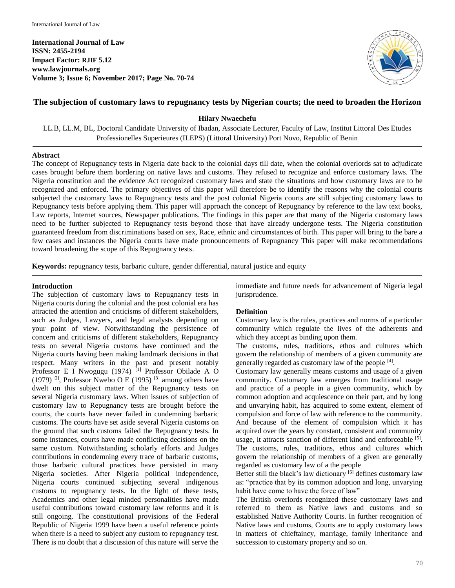**International Journal of Law ISSN: 2455-2194 Impact Factor: RJIF 5.12 www.lawjournals.org Volume 3; Issue 6; November 2017; Page No. 70-74**



# **The subjection of customary laws to repugnancy tests by Nigerian courts; the need to broaden the Horizon**

**Hilary Nwaechefu**

LL.B, LL.M, BL, Doctoral Candidate University of Ibadan, Associate Lecturer, Faculty of Law, Institut Littoral Des Etudes Professionelles Superieures (ILEPS) (Littoral University) Port Novo, Republic of Benin

# **Abstract**

The concept of Repugnancy tests in Nigeria date back to the colonial days till date, when the colonial overlords sat to adjudicate cases brought before them bordering on native laws and customs. They refused to recognize and enforce customary laws. The Nigeria constitution and the evidence Act recognized customary laws and state the situations and how customary laws are to be recognized and enforced. The primary objectives of this paper will therefore be to identify the reasons why the colonial courts subjected the customary laws to Repugnancy tests and the post colonial Nigeria courts are still subjecting customary laws to Repugnancy tests before applying them. This paper will approach the concept of Repugnancy by reference to the law text books, Law reports, Internet sources, Newspaper publications. The findings in this paper are that many of the Nigeria customary laws need to be further subjected to Repugnancy tests beyond those that have already undergone tests. The Nigeria constitution guaranteed freedom from discriminations based on sex, Race, ethnic and circumstances of birth. This paper will bring to the bare a few cases and instances the Nigeria courts have made pronouncements of Repugnancy This paper will make recommendations toward broadening the scope of this Repugnancy tests.

**Keywords:** repugnancy tests, barbaric culture, gender differential, natural justice and equity

# **Introduction**

The subjection of customary laws to Repugnancy tests in Nigeria courts during the colonial and the post colonial era has attracted the attention and criticisms of different stakeholders, such as Judges, Lawyers, and legal analysts depending on your point of view. Notwithstanding the persistence of concern and criticisms of different stakeholders, Repugnancy tests on several Nigeria customs have continued and the Nigeria courts having been making landmark decisions in that respect. Many writers in the past and present notably Professor E I Nwogugu (1974) <sup>[1]</sup> Professor Obilade A O (1979)<sup>[2]</sup>, Professor Nwebo O E (1995)<sup>[3]</sup> among others have dwelt on this subject matter of the Repugnancy tests on several Nigeria customary laws. When issues of subjection of customary law to Repugnancy tests are brought before the courts, the courts have never failed in condemning barbaric customs. The courts have set aside several Nigeria customs on the ground that such customs failed the Repugnancy tests. In some instances, courts have made conflicting decisions on the same custom. Notwithstanding scholarly efforts and Judges contributions in condemning every trace of barbaric customs, those barbaric cultural practices have persisted in many Nigeria societies. After Nigeria political independence, Nigeria courts continued subjecting several indigenous customs to repugnancy tests. In the light of these tests, Academics and other legal minded personalities have made useful contributions toward customary law reforms and it is still ongoing. The constitutional provisions of the Federal Republic of Nigeria 1999 have been a useful reference points when there is a need to subject any custom to repugnancy test. There is no doubt that a discussion of this nature will serve the

immediate and future needs for advancement of Nigeria legal jurisprudence.

# **Definition**

Customary law is the rules, practices and norms of a particular community which regulate the lives of the adherents and which they accept as binding upon them.

The customs, rules, traditions, ethos and cultures which govern the relationship of members of a given community are generally regarded as customary law of the people [4].

Customary law generally means customs and usage of a given community. Customary law emerges from traditional usage and practice of a people in a given community, which by common adoption and acquiescence on their part, and by long and unvarying habit, has acquired to some extent, element of compulsion and force of law with reference to the community. And because of the element of compulsion which it has acquired over the years by constant, consistent and community usage, it attracts sanction of different kind and enforceable <sup>[5]</sup>. The customs, rules, traditions, ethos and cultures which govern the relationship of members of a given are generally regarded as customary law of a the people

Better still the black's law dictionary  $[6]$  defines customary law as: "practice that by its common adoption and long, unvarying habit have come to have the force of law"

The British overlords recognized these customary laws and referred to them as Native laws and customs and so established Native Authority Courts. In further recognition of Native laws and customs, Courts are to apply customary laws in matters of chieftaincy, marriage, family inheritance and succession to customary property and so on.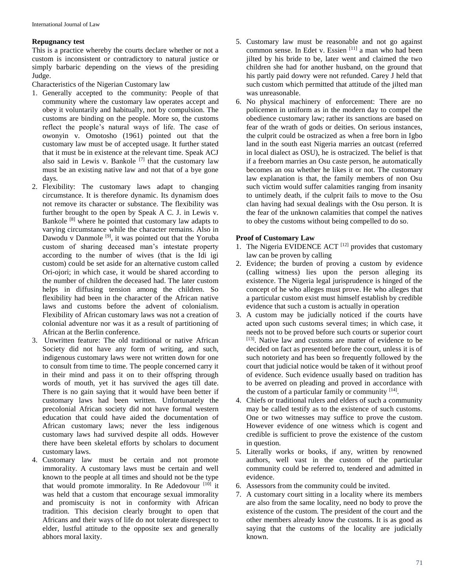#### **Repugnancy test**

This is a practice whereby the courts declare whether or not a custom is inconsistent or contradictory to natural justice or simply barbaric depending on the views of the presiding Judge.

Characteristics of the Nigerian Customary law

- 1. Generally accepted to the community: People of that community where the customary law operates accept and obey it voluntarily and habitually, not by compulsion. The customs are binding on the people. More so, the customs reflect the people's natural ways of life. The case of owonyin v. Omotosho (1961) pointed out that the customary law must be of accepted usage. It further stated that it must be in existence at the relevant time. Speak ACJ also said in Lewis v. Bankole<sup>[7]</sup> that the customary law must be an existing native law and not that of a bye gone days.
- 2. Flexibility: The customary laws adapt to changing circumstance. It is therefore dynamic. Its dynamism does not remove its character or substance. The flexibility was further brought to the open by Speak A C. J. in Lewis v. Bankole [8] where he pointed that customary law adapts to varying circumstance while the character remains. Also in Dawodu v Danmole<sup>[9]</sup>, it was pointed out that the Yoruba custom of sharing deceased man's intestate property according to the number of wives (that is the Idi igi custom) could be set aside for an alternative custom called Ori-ojori; in which case, it would be shared according to the number of children the deceased had. The later custom helps in diffusing tension among the children. So flexibility had been in the character of the African native laws and customs before the advent of colonialism. Flexibility of African customary laws was not a creation of colonial adventure nor was it as a result of partitioning of African at the Berlin conference.
- 3. Unwritten feature: The old traditional or native African Society did not have any form of writing, and such, indigenous customary laws were not written down for one to consult from time to time. The people concerned carry it in their mind and pass it on to their offspring through words of mouth, yet it has survived the ages till date. There is no gain saying that it would have been better if customary laws had been written. Unfortunately the precolonial African society did not have formal western education that could have aided the documentation of African customary laws; never the less indigenous customary laws had survived despite all odds. However there have been skeletal efforts by scholars to document customary laws.
- 4. Customary law must be certain and not promote immorality. A customary laws must be certain and well known to the people at all times and should not be the type that would promote immorality. In Re Adedovour [10] it was held that a custom that encourage sexual immorality and promiscuity is not in conformity with African tradition. This decision clearly brought to open that Africans and their ways of life do not tolerate disrespect to elder, lustful attitude to the opposite sex and generally abhors moral laxity.
- 5. Customary law must be reasonable and not go against common sense. In Edet v. Essien [11] a man who had been jilted by his bride to be, later went and claimed the two children she had for another husband, on the ground that his partly paid dowry were not refunded. Carey J held that such custom which permitted that attitude of the jilted man was unreasonable.
- 6. No physical machinery of enforcement: There are no policemen in uniform as in the modern day to compel the obedience customary law; rather its sanctions are based on fear of the wrath of gods or deities. On serious instances, the culprit could be ostracized as when a free born in Igbo land in the south east Nigeria marries an outcast (referred in local dialect as OSU), he is ostracized. The belief is that if a freeborn marries an Osu caste person, he automatically becomes an osu whether he likes it or not. The customary law explanation is that, the family members of non Osu such victim would suffer calamities ranging from insanity to untimely death, if the culprit fails to move to the Osu clan having had sexual dealings with the Osu person. It is the fear of the unknown calamities that compel the natives to obey the customs without being compelled to do so.

# **Proof of Customary Law**

- 1. The Nigeria EVIDENCE ACT  $[12]$  provides that customary law can be proven by calling
- 2. Evidence; the burden of proving a custom by evidence (calling witness) lies upon the person alleging its existence. The Nigeria legal jurisprudence is hinged of the concept of he who alleges must prove. He who alleges that a particular custom exist must himself establish by credible evidence that such a custom is actually in operation
- 3. A custom may be judicially noticed if the courts have acted upon such customs several times; in which case, it needs not to be proved before such courts or superior court [13]. Native law and customs are matter of evidence to be decided on fact as presented before the court, unless it is of such notoriety and has been so frequently followed by the court that judicial notice would be taken of it without proof of evidence. Such evidence usually based on tradition has to be averred on pleading and proved in accordance with the custom of a particular family or community [14].
- 4. Chiefs or traditional rulers and elders of such a community may be called testify as to the existence of such customs. One or two witnesses may suffice to prove the custom. However evidence of one witness which is cogent and credible is sufficient to prove the existence of the custom in question.
- 5. Literally works or books, if any, written by renowned authors, well vast in the custom of the particular community could be referred to, tendered and admitted in evidence.
- 6. Assessors from the community could be invited.
- 7. A customary court sitting in a locality where its members are also from the same locality, need no body to prove the existence of the custom. The president of the court and the other members already know the customs. It is as good as saying that the customs of the locality are judicially known.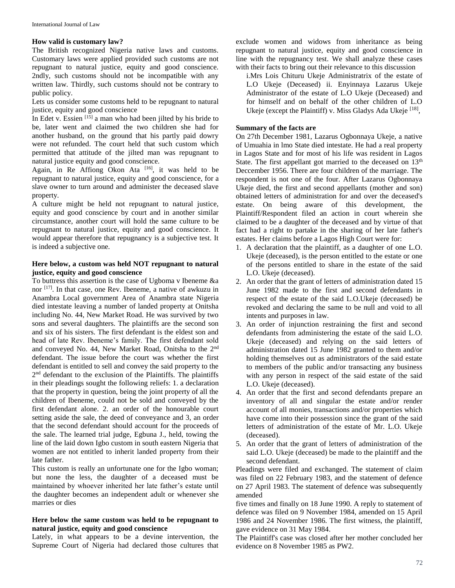#### **How valid is customary law?**

The British recognized Nigeria native laws and customs. Customary laws were applied provided such customs are not repugnant to natural justice, equity and good conscience. 2ndly, such customs should not be incompatible with any written law. Thirdly, such customs should not be contrary to public policy.

Lets us consider some customs held to be repugnant to natural justice, equity and good conscience

In Edet v. Essien  $[15]$  a man who had been jilted by his bride to be, later went and claimed the two children she had for another husband, on the ground that his partly paid dowry were not refunded. The court held that such custom which permitted that attitude of the jilted man was repugnant to natural justice equity and good conscience.

Again, in Re Affiong Okon Ata  $[16]$ , it was held to be repugnant to natural justice, equity and good conscience, for a slave owner to turn around and administer the deceased slave property.

A culture might be held not repugnant to natural justice, equity and good conscience by court and in another similar circumstance, another court will hold the same culture to be repugnant to natural justice, equity and good conscience. It would appear therefore that repugnancy is a subjective test. It is indeed a subjective one.

#### **Here below, a custom was held NOT repugnant to natural justice, equity and good conscience**

To buttress this assertion is the case of Ugboma v Ibeneme &a nor <sup>[17]</sup>. In that case, one Rev. Ibeneme, a native of awkuzu in Anambra Local government Area of Anambra state Nigeria died intestate leaving a number of landed property at Onitsha including No. 44, New Market Road. He was survived by two sons and several daughters. The plaintiffs are the second son and six of his sisters. The first defendant is the eldest son and head of late Rev. Ibeneme's family. The first defendant sold and conveyed No. 44, New Market Road, Onitsha to the 2nd defendant. The issue before the court was whether the first defendant is entitled to sell and convey the said property to the 2<sup>nd</sup> defendant to the exclusion of the Plaintiffs. The plaintiffs in their pleadings sought the following reliefs: 1. a declaration that the property in question, being the joint property of all the children of Ibeneme, could not be sold and conveyed by the first defendant alone. 2. an order of the honourable court setting aside the sale, the deed of conveyance and 3, an order that the second defendant should account for the proceeds of the sale. The learned trial judge, Egbuna J., held, towing the line of the laid down Igbo custom in south eastern Nigeria that women are not entitled to inherit landed property from their late father.

This custom is really an unfortunate one for the Igbo woman; but none the less, the daughter of a deceased must be maintained by whoever inherited her late father's estate until the daughter becomes an independent adult or whenever she marries or dies

# **Here below the same custom was held to be repugnant to natural justice, equity and good conscience**

Lately, in what appears to be a devine intervention, the Supreme Court of Nigeria had declared those cultures that

exclude women and widows from inheritance as being repugnant to natural justice, equity and good conscience in line with the repugnancy test. We shall analyze these cases with their facts to bring out their relevance to this discussion

i.Mrs Lois Chituru Ukeje Administratrix of the estate of L.O Ukeje (Deceased) ii. Enyinnaya Lazarus Ukeje Administrator of the estate of L.O Ukeje (Deceased) and for himself and on behalf of the other children of L.O Ukeje (except the Plaintiff) v. Miss Gladys Ada Ukeje [18],

# **Summary of the facts are**

On 27th December 1981, Lazarus Ogbonnaya Ukeje, a native of Umuahia in lmo State died intestate. He had a real property in Lagos State and for most of his life was resident in Lagos State. The first appellant got married to the deceased on 13<sup>th</sup> Deccember 1956. There are four children of the marriage. The respondent is not one of the four. After Lazarus Ogbonnaya Ukeje died, the first and second appellants (mother and son) obtained letters of administration for and over the deceased's estate. On being aware of this development, the Plaintiff/Respondent filed an action in court wherein she claimed to be a daughter of the deceased and by virtue of that fact had a right to partake in the sharing of her late father's estates. Her claims before a Lagos High Court were for:

- 1. A declaration that the plaintiff, as a daughter of one L.O. Ukeje (deceased), is the person entitled to the estate or one of the persons entitled to share in the estate of the said L.O. Ukeje (deceased).
- 2. An order that the grant of letters of administration dated 15 June 1982 made to the first and second defendants in respect of the estate of the said L.O.Ukeje (deceased) be revoked and declaring the same to be null and void to all intents and purposes in law.
- 3. An order of injunction restraining the first and second defendants from administering the estate of the said L.O. Ukeje (deceased) and relying on the said letters of administration dated 15 June 1982 granted to them and/or holding themselves out as administrators of the said estate to members of the public and/or transacting any business with any person in respect of the said estate of the said L.O. Ukeje (deceased).
- 4. An order that the first and second defendants prepare an inventory of all and singular the estate and/or render account of all monies, transactions and/or properties which have come into their possession since the grant of the said letters of administration of the estate of Mr. L.O. Ukeje (deceased).
- 5. An order that the grant of letters of administration of the said L.O. Ukeje (deceased) be made to the plaintiff and the second defendant.

Pleadings were filed and exchanged. The statement of claim was filed on 22 February 1983, and the statement of defence on 27 April 1983. The statement of defence was subsequently amended

five times and finally on 18 June 1990. A reply to statement of defence was filed on 9 November 1984, amended on 15 April 1986 and 24 November 1986. The first witness, the plaintiff, gave evidence on 31 May 1984.

The Plaintiff's case was closed after her mother concluded her evidence on 8 November 1985 as PW2.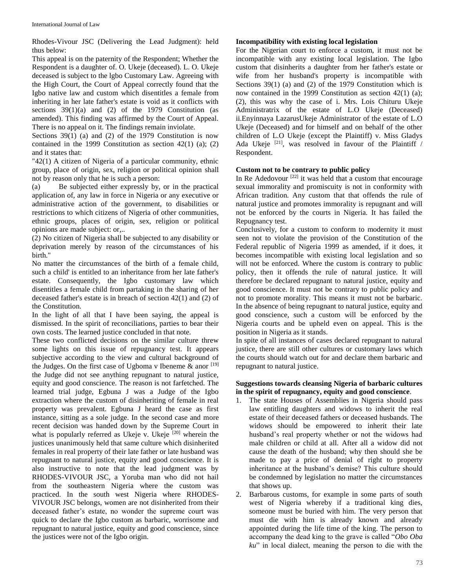Rhodes-Vivour JSC (Delivering the Lead Judgment): held thus below:

This appeal is on the paternity of the Respondent; Whether the Respondent is a daughter of. O. Ukeje (deceased). L. O. Ukeje deceased is subject to the lgbo Customary Law. Agreeing with the High Court, the Court of Appeal correctly found that the Igbo native law and custom which disentitles a female from inheriting in her late father's estate is void as it conflicts with sections 39(1)(a) and (2) of the 1979 Constitution (as amended). This finding was affirmed by the Court of Appeal. There is no appeal on it. The findings remain inviolate.

Sections 39(1) (a) and (2) of the 1979 Constitution is now contained in the 1999 Constitution as section  $42(1)$  (a); (2) and it states that:

"42(1) A citizen of Nigeria of a particular community, ethnic group, place of origin, sex, religion or political opinion shall not by reason only that he is such a person:

(a) Be subjected either expressly by, or in the practical application of, any law in force in Nigeria or any executive or administrative action of the government, to disabilities or restrictions to which citizens of Nigeria of other communities, ethnic groups, places of origin, sex, religion or political opinions are made subject: or,..

(2) No citizen of Nigeria shall be subjected to any disability or deprivation merely by reason of the circumstances of his birth."

No matter the circumstances of the birth of a female child, such a child' is entitled to an inheritance from her late father's estate. Consequently, the Igbo customary law which disentitles a female child from partaking in the sharing of her deceased father's estate is in breach of section 42(1) and (2) of the Constitution.

In the light of all that I have been saying, the appeal is dismissed. In the spirit of reconciliations, parties to bear their own costs. The learned justice concluded in that note.

These two conflicted decisions on the similar culture threw some lights on this issue of repugnancy test. It appears subjective according to the view and cultural background of the Judges. On the first case of Ugboma v Ibeneme & anor [19] the Judge did not see anything repugnant to natural justice, equity and good conscience. The reason is not farfetched. The learned trial judge, Egbuna J was a Judge of the Igbo extraction where the custom of disinheriting of female in real property was prevalent. Egbuna J heard the case as first instance, sitting as a sole judge. In the second case and more recent decision was handed down by the Supreme Court in what is popularly referred as Ukeje v. Ukeje  $[20]$  wherein the justices unanimously held that same culture which disinherited females in real property of their late father or late husband was repugnant to natural justice, equity and good conscience. It is also instructive to note that the lead judgment was by RHODES-VIVOUR JSC, a Yoruba man who did not hail from the southeastern Nigeria where the custom was practiced. In the south west Nigeria where RHODES-VIVOUR JSC belongs, women are not disinherited from their deceased father's estate, no wonder the supreme court was quick to declare the Igbo custom as barbaric, worrisome and repugnant to natural justice, equity and good conscience, since the justices were not of the Igbo origin.

#### **Incompatibility with existing local legislation**

For the Nigerian court to enforce a custom, it must not be incompatible with any existing local legislation. The Igbo custom that disinherits a daughter from her father's estate or wife from her husband's property is incompatible with Sections 39(1) (a) and (2) of the 1979 Constitution which is now contained in the 1999 Constitution as section 42(1) (a); (2), this was why the case of i. Mrs. Lois Chituru Ukeje Administratrix of the estate of L.O Ukeje (Deceased) ii.Enyinnaya LazarusUkeje Administrator of the estate of L.O Ukeje (Deceased) and for himself and on behalf of the other children of L.O Ukeje (except the Plaintiff) v. Miss Gladys Ada Ukeje  $[21]$ , was resolved in favour of the Plaintiff / Respondent.

#### **Custom not to be contrary to public policy**

In Re Adedovour<sup>[22]</sup> it was held that a custom that encourage sexual immorality and promiscuity is not in conformity with African tradition. Any custom that that offends the rule of natural justice and promotes immorality is repugnant and will not be enforced by the courts in Nigeria. It has failed the Repugnancy test.

Conclusively, for a custom to conform to modernity it must seen not to violate the provision of the Constitution of the Federal republic of Nigeria 1999 as amended, if it does, it becomes incompatible with existing local legislation and so will not be enforced. Where the custom is contrary to public policy, then it offends the rule of natural justice. It will therefore be declared repugnant to natural justice, equity and good conscience. It must not be contrary to public policy and not to promote morality. This means it must not be barbaric. In the absence of being repugnant to natural justice, equity and good conscience, such a custom will be enforced by the Nigeria courts and be upheld even on appeal. This is the position in Nigeria as it stands.

In spite of all instances of cases declared repugnant to natural justice, there are still other cultures or customary laws which the courts should watch out for and declare them barbaric and repugnant to natural justice.

# **Suggestions towards cleansing Nigeria of barbaric cultures in the spirit of repugnancy, equity and good conscience**.

- 1. The state Houses of Assemblies in Nigeria should pass law entitling daughters and widows to inherit the real estate of their deceased fathers or deceased husbands. The widows should be empowered to inherit their late husband's real property whether or not the widows had male children or child at all. After all a widow did not cause the death of the husband; why then should she be made to pay a price of denial of right to property inheritance at the husband's demise? This culture should be condemned by legislation no matter the circumstances that shows up.
- 2. Barbarous customs, for example in some parts of south west of Nigeria whereby if a traditional king dies, someone must be buried with him. The very person that must die with him is already known and already appointed during the life time of the king. The person to accompany the dead king to the grave is called "*Obo Oba ku*" in local dialect, meaning the person to die with the